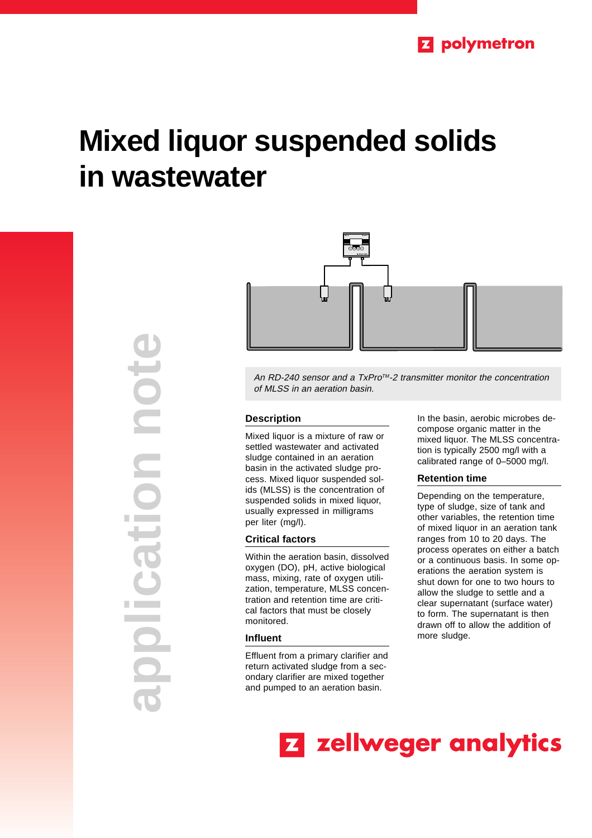# **Mixed liquor suspended solids in wastewater**

**application note** DOC tion **The Company** 



An RD-240 sensor and a TxPro™-2 transmitter monitor the concentration of MLSS in an aeration basin.

### **Description**

Mixed liquor is a mixture of raw or settled wastewater and activated sludge contained in an aeration basin in the activated sludge process. Mixed liquor suspended solids (MLSS) is the concentration of suspended solids in mixed liquor, usually expressed in milligrams per liter (mg/l).

## **Critical factors**

Within the aeration basin, dissolved oxygen (DO), pH, active biological mass, mixing, rate of oxygen utilization, temperature, MLSS concentration and retention time are critical factors that must be closely monitored.

#### **Influent**

Effluent from a primary clarifier and return activated sludge from a secondary clarifier are mixed together and pumped to an aeration basin.

In the basin, aerobic microbes decompose organic matter in the mixed liquor. The MLSS concentration is typically 2500 mg/l with a calibrated range of 0–5000 mg/l.

### **Retention time**

Depending on the temperature, type of sludge, size of tank and other variables, the retention time of mixed liquor in an aeration tank ranges from 10 to 20 days. The process operates on either a batch or a continuous basis. In some operations the aeration system is shut down for one to two hours to allow the sludge to settle and a clear supernatant (surface water) to form. The supernatant is then drawn off to allow the addition of more sludge.